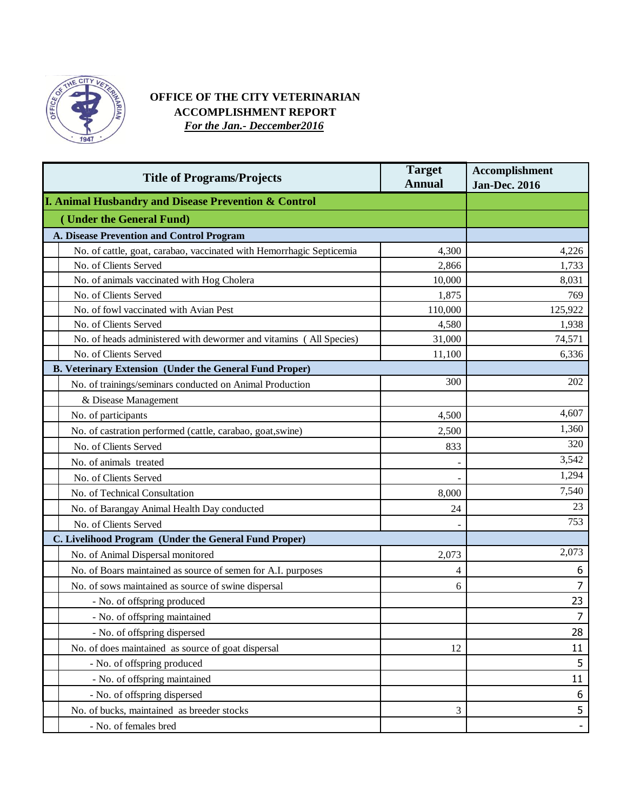

## **OFFICE OF THE CITY VETERINARIAN ACCOMPLISHMENT REPORT** *For the Jan.- Deccember2016*

| <b>Title of Programs/Projects</b>                                    | <b>Target</b><br><b>Annual</b> | Accomplishment<br><b>Jan-Dec. 2016</b> |
|----------------------------------------------------------------------|--------------------------------|----------------------------------------|
| I. Animal Husbandry and Disease Prevention & Control                 |                                |                                        |
| <b>Under the General Fund)</b>                                       |                                |                                        |
| A. Disease Prevention and Control Program                            |                                |                                        |
| No. of cattle, goat, carabao, vaccinated with Hemorrhagic Septicemia | 4,300                          | 4,226                                  |
| No. of Clients Served                                                | 2,866                          | 1,733                                  |
| No. of animals vaccinated with Hog Cholera                           | 10,000                         | 8,031                                  |
| No. of Clients Served                                                | 1,875                          | 769                                    |
| No. of fowl vaccinated with Avian Pest                               | 110,000                        | 125,922                                |
| No. of Clients Served                                                | 4,580                          | 1,938                                  |
| No. of heads administered with dewormer and vitamins (All Species)   | 31,000                         | 74,571                                 |
| No. of Clients Served                                                | 11,100                         | 6,336                                  |
| <b>B. Veterinary Extension (Under the General Fund Proper)</b>       |                                |                                        |
| No. of trainings/seminars conducted on Animal Production             | 300                            | 202                                    |
| & Disease Management                                                 |                                |                                        |
| No. of participants                                                  | 4,500                          | 4,607                                  |
| No. of castration performed (cattle, carabao, goat, swine)           | 2,500                          | 1,360                                  |
| No. of Clients Served                                                | 833                            | 320                                    |
| No. of animals treated                                               |                                | 3,542                                  |
| No. of Clients Served                                                |                                | 1,294                                  |
| No. of Technical Consultation                                        | 8,000                          | 7,540                                  |
| No. of Barangay Animal Health Day conducted                          | 24                             | 23                                     |
| No. of Clients Served                                                |                                | 753                                    |
| C. Livelihood Program (Under the General Fund Proper)                |                                |                                        |
| No. of Animal Dispersal monitored                                    | 2,073                          | 2,073                                  |
| No. of Boars maintained as source of semen for A.I. purposes         | 4                              | 6                                      |
| No. of sows maintained as source of swine dispersal                  | 6                              | 7                                      |
| - No. of offspring produced                                          |                                | 23                                     |
| - No. of offspring maintained                                        |                                | $\overline{7}$                         |
| - No. of offspring dispersed                                         |                                | 28                                     |
| No. of does maintained as source of goat dispersal                   | 12                             | 11                                     |
| - No. of offspring produced                                          |                                | 5                                      |
| - No. of offspring maintained                                        |                                | 11                                     |
| - No. of offspring dispersed                                         |                                | 6                                      |
| No. of bucks, maintained as breeder stocks                           | 3                              | 5                                      |
| - No. of females bred                                                |                                |                                        |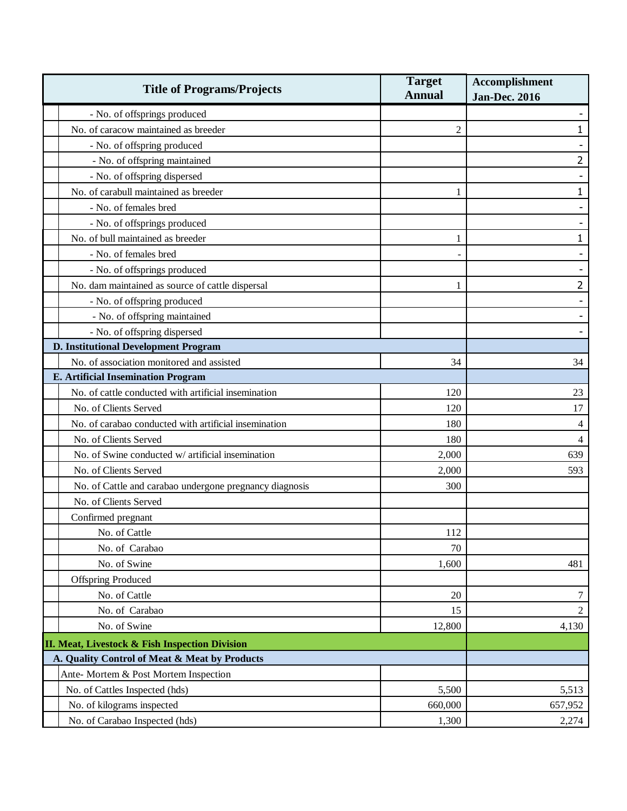| <b>Title of Programs/Projects</b>                       | <b>Target</b><br><b>Annual</b> | Accomplishment<br><b>Jan-Dec. 2016</b> |
|---------------------------------------------------------|--------------------------------|----------------------------------------|
| - No. of offsprings produced                            |                                |                                        |
| No. of caracow maintained as breeder                    | $\overline{c}$                 | 1                                      |
| - No. of offspring produced                             |                                |                                        |
| - No. of offspring maintained                           |                                | $\overline{2}$                         |
| - No. of offspring dispersed                            |                                |                                        |
| No. of carabull maintained as breeder                   |                                |                                        |
| - No. of females bred                                   |                                |                                        |
| - No. of offsprings produced                            |                                |                                        |
| No. of bull maintained as breeder                       | 1                              | 1                                      |
| - No. of females bred                                   |                                |                                        |
| - No. of offsprings produced                            |                                |                                        |
| No. dam maintained as source of cattle dispersal        | 1                              | 2                                      |
| - No. of offspring produced                             |                                |                                        |
| - No. of offspring maintained                           |                                |                                        |
| - No. of offspring dispersed                            |                                |                                        |
| <b>D. Institutional Development Program</b>             |                                |                                        |
| No. of association monitored and assisted               | 34                             | 34                                     |
| E. Artificial Insemination Program                      |                                |                                        |
| No. of cattle conducted with artificial insemination    | 120                            | 23                                     |
| No. of Clients Served                                   | 120                            | 17                                     |
| No. of carabao conducted with artificial insemination   | 180                            | 4                                      |
| No. of Clients Served                                   | 180                            | 4                                      |
| No. of Swine conducted w/ artificial insemination       | 2,000                          | 639                                    |
| No. of Clients Served                                   | 2,000                          | 593                                    |
| No. of Cattle and carabao undergone pregnancy diagnosis | 300                            |                                        |
| No. of Clients Served                                   |                                |                                        |
| Confirmed pregnant                                      |                                |                                        |
| No. of Cattle                                           | 112                            |                                        |
| No. of Carabao                                          | 70                             |                                        |
| No. of Swine                                            | 1,600                          | 481                                    |
| <b>Offspring Produced</b>                               |                                |                                        |
| No. of Cattle                                           | 20                             | 7                                      |
| No. of Carabao                                          | 15                             | 2                                      |
| No. of Swine                                            | 12,800                         | 4,130                                  |
| II. Meat, Livestock & Fish Inspection Division          |                                |                                        |
| A. Quality Control of Meat & Meat by Products           |                                |                                        |
| Ante- Mortem & Post Mortem Inspection                   |                                |                                        |
| No. of Cattles Inspected (hds)                          | 5,500                          | 5,513                                  |
| No. of kilograms inspected                              | 660,000                        | 657,952                                |
| No. of Carabao Inspected (hds)                          | 1,300                          | 2,274                                  |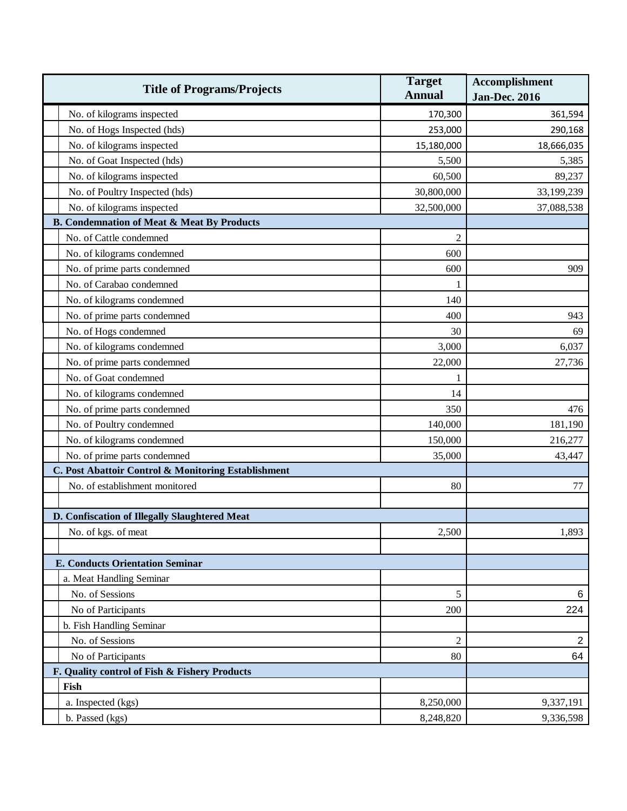| <b>Title of Programs/Projects</b>                     | <b>Target</b><br><b>Annual</b> | Accomplishment<br><b>Jan-Dec. 2016</b> |
|-------------------------------------------------------|--------------------------------|----------------------------------------|
| No. of kilograms inspected                            | 170,300                        | 361,594                                |
| No. of Hogs Inspected (hds)                           | 253,000                        | 290,168                                |
| No. of kilograms inspected                            | 15,180,000                     | 18,666,035                             |
| No. of Goat Inspected (hds)                           | 5,500                          | 5,385                                  |
| No. of kilograms inspected                            | 60,500                         | 89,237                                 |
| No. of Poultry Inspected (hds)                        | 30,800,000                     | 33,199,239                             |
| No. of kilograms inspected                            | 32,500,000                     | 37,088,538                             |
| <b>B. Condemnation of Meat &amp; Meat By Products</b> |                                |                                        |
| No. of Cattle condemned                               | 2                              |                                        |
| No. of kilograms condemned                            | 600                            |                                        |
| No. of prime parts condemned                          | 600                            | 909                                    |
| No. of Carabao condemned                              |                                |                                        |
| No. of kilograms condemned                            | 140                            |                                        |
| No. of prime parts condemned                          | 400                            | 943                                    |
| No. of Hogs condemned                                 | 30                             | 69                                     |
| No. of kilograms condemned                            | 3,000                          | 6,037                                  |
| No. of prime parts condemned                          | 22,000                         | 27,736                                 |
| No. of Goat condemned                                 |                                |                                        |
| No. of kilograms condemned                            | 14                             |                                        |
| No. of prime parts condemned                          | 350                            | 476                                    |
| No. of Poultry condemned                              | 140,000                        | 181,190                                |
| No. of kilograms condemned                            | 150,000                        | 216,277                                |
| No. of prime parts condemned                          | 35,000                         | 43,447                                 |
| C. Post Abattoir Control & Monitoring Establishment   |                                |                                        |
| No. of establishment monitored                        | 80                             | 77                                     |
|                                                       |                                |                                        |
| D. Confiscation of Illegally Slaughtered Meat         |                                |                                        |
| No. of kgs. of meat                                   | 2,500                          | 1,893                                  |
|                                                       |                                |                                        |
| <b>E. Conducts Orientation Seminar</b>                |                                |                                        |
| a. Meat Handling Seminar                              |                                |                                        |
| No. of Sessions                                       | 5                              | 6                                      |
| No of Participants                                    | 200                            | 224                                    |
| b. Fish Handling Seminar                              |                                |                                        |
| No. of Sessions                                       | 2                              | $\overline{2}$                         |
| No of Participants                                    | 80                             | 64                                     |
| F. Quality control of Fish & Fishery Products         |                                |                                        |
| Fish                                                  |                                |                                        |
| a. Inspected (kgs)                                    | 8,250,000                      | 9,337,191                              |
| b. Passed (kgs)                                       | 8,248,820                      | 9,336,598                              |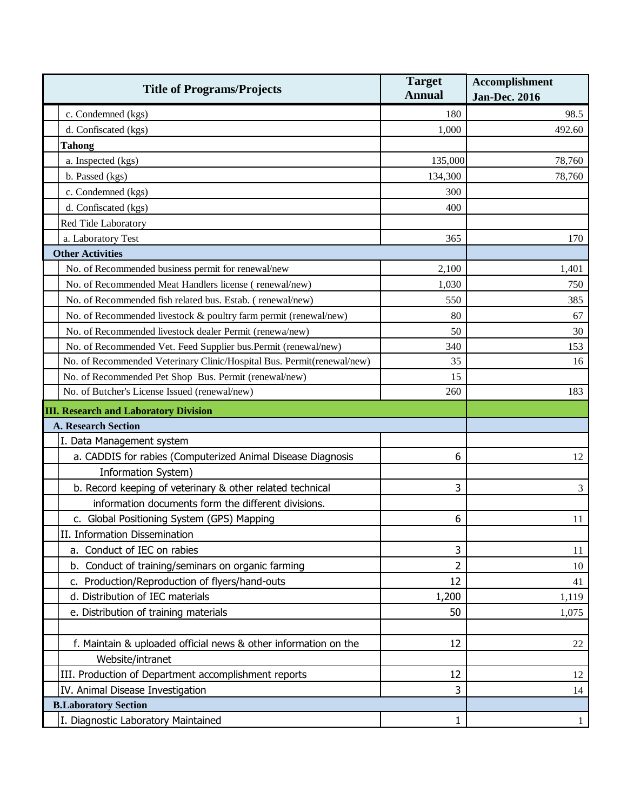| <b>Title of Programs/Projects</b>                                      | <b>Target</b><br><b>Annual</b> | Accomplishment<br><b>Jan-Dec. 2016</b> |
|------------------------------------------------------------------------|--------------------------------|----------------------------------------|
| c. Condemned (kgs)                                                     | 180                            | 98.5                                   |
| d. Confiscated (kgs)                                                   | 1,000                          | 492.60                                 |
| <b>Tahong</b>                                                          |                                |                                        |
| a. Inspected (kgs)                                                     | 135,000                        | 78,760                                 |
| b. Passed (kgs)                                                        | 134,300                        | 78,760                                 |
| c. Condemned (kgs)                                                     | 300                            |                                        |
| d. Confiscated (kgs)                                                   | 400                            |                                        |
| Red Tide Laboratory                                                    |                                |                                        |
| a. Laboratory Test                                                     | 365                            | 170                                    |
| <b>Other Activities</b>                                                |                                |                                        |
| No. of Recommended business permit for renewal/new                     | 2,100                          | 1,401                                  |
| No. of Recommended Meat Handlers license (renewal/new)                 | 1,030                          | 750                                    |
| No. of Recommended fish related bus. Estab. (renewal/new)              | 550                            | 385                                    |
| No. of Recommended livestock & poultry farm permit (renewal/new)       | 80                             | 67                                     |
| No. of Recommended livestock dealer Permit (renewa/new)                | 50                             | 30                                     |
| No. of Recommended Vet. Feed Supplier bus. Permit (renewal/new)        | 340                            | 153                                    |
| No. of Recommended Veterinary Clinic/Hospital Bus. Permit(renewal/new) | 35                             | 16                                     |
| No. of Recommended Pet Shop Bus. Permit (renewal/new)                  | 15                             |                                        |
| No. of Butcher's License Issued (renewal/new)                          | 260                            | 183                                    |
| <b>III. Research and Laboratory Division</b>                           |                                |                                        |
| <b>A. Research Section</b>                                             |                                |                                        |
| I. Data Management system                                              |                                |                                        |
| a. CADDIS for rabies (Computerized Animal Disease Diagnosis            | 6                              | 12                                     |
| Information System)                                                    |                                |                                        |
| b. Record keeping of veterinary & other related technical              | 3                              | 3                                      |
| information documents form the different divisions.                    |                                |                                        |
| c. Global Positioning System (GPS) Mapping                             | 6                              | 11                                     |
| II. Information Dissemination                                          |                                |                                        |
| a. Conduct of IEC on rabies                                            | 3                              | 11                                     |
| b. Conduct of training/seminars on organic farming                     | 2                              | 10                                     |
| c. Production/Reproduction of flyers/hand-outs                         | 12                             | 41                                     |
| d. Distribution of IEC materials                                       | 1,200                          | 1,119                                  |
| e. Distribution of training materials                                  | 50                             | 1,075                                  |
|                                                                        |                                |                                        |
| f. Maintain & uploaded official news & other information on the        | 12                             | 22                                     |
| Website/intranet                                                       |                                |                                        |
| III. Production of Department accomplishment reports                   | 12                             | 12                                     |
| IV. Animal Disease Investigation                                       | 3                              | 14                                     |
| <b>B.Laboratory Section</b>                                            |                                |                                        |
| I. Diagnostic Laboratory Maintained                                    | 1                              | $\mathbf{1}$                           |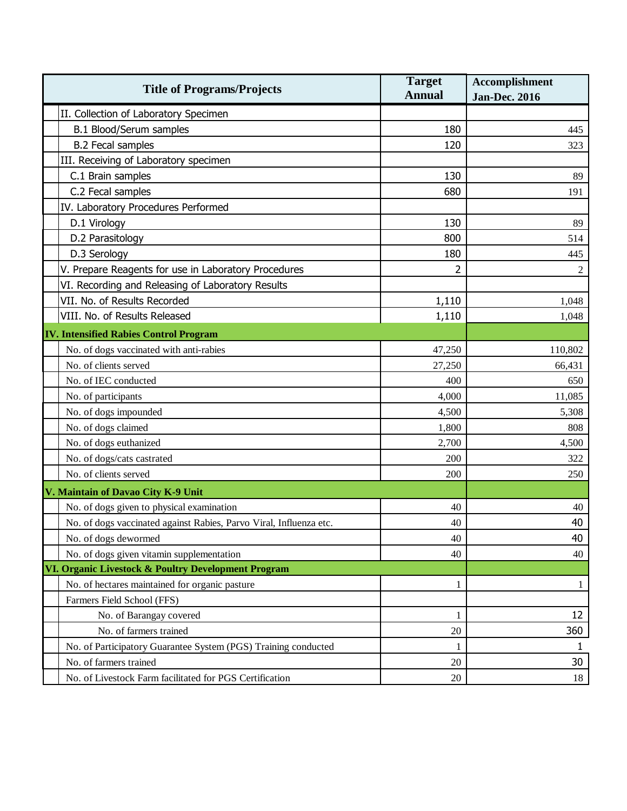| <b>Title of Programs/Projects</b>                                  | <b>Target</b><br><b>Annual</b> | Accomplishment<br><b>Jan-Dec. 2016</b> |
|--------------------------------------------------------------------|--------------------------------|----------------------------------------|
| II. Collection of Laboratory Specimen                              |                                |                                        |
| B.1 Blood/Serum samples                                            | 180                            | 445                                    |
| <b>B.2 Fecal samples</b>                                           | 120                            | 323                                    |
| III. Receiving of Laboratory specimen                              |                                |                                        |
| C.1 Brain samples                                                  | 130                            | 89                                     |
| C.2 Fecal samples                                                  | 680                            | 191                                    |
| IV. Laboratory Procedures Performed                                |                                |                                        |
| D.1 Virology                                                       | 130                            | 89                                     |
| D.2 Parasitology                                                   | 800                            | 514                                    |
| D.3 Serology                                                       | 180                            | 445                                    |
| V. Prepare Reagents for use in Laboratory Procedures               | 2                              | $\overline{c}$                         |
| VI. Recording and Releasing of Laboratory Results                  |                                |                                        |
| VII. No. of Results Recorded                                       | 1,110                          | 1,048                                  |
| VIII. No. of Results Released                                      | 1,110                          | 1,048                                  |
| <b>IV. Intensified Rabies Control Program</b>                      |                                |                                        |
| No. of dogs vaccinated with anti-rabies                            | 47,250                         | 110,802                                |
| No. of clients served                                              | 27,250                         | 66,431                                 |
| No. of IEC conducted                                               | 400                            | 650                                    |
| No. of participants                                                | 4,000                          | 11,085                                 |
| No. of dogs impounded                                              | 4,500                          | 5,308                                  |
| No. of dogs claimed                                                | 1,800                          | 808                                    |
| No. of dogs euthanized                                             | 2,700                          | 4,500                                  |
| No. of dogs/cats castrated                                         | 200                            | 322                                    |
| No. of clients served                                              | 200                            | 250                                    |
| V. Maintain of Davao City K-9 Unit                                 |                                |                                        |
| No. of dogs given to physical examination                          | 40                             | 40                                     |
| No. of dogs vaccinated against Rabies, Parvo Viral, Influenza etc. | 40                             | 40                                     |
| No. of dogs dewormed                                               | 40                             | 40                                     |
| No. of dogs given vitamin supplementation                          | 40                             | 40                                     |
| VI. Organic Livestock & Poultry Development Program                |                                |                                        |
| No. of hectares maintained for organic pasture                     | 1                              | 1                                      |
| Farmers Field School (FFS)                                         |                                |                                        |
| No. of Barangay covered                                            | 1                              | 12                                     |
| No. of farmers trained                                             | 20                             | 360                                    |
| No. of Participatory Guarantee System (PGS) Training conducted     | 1                              | 1                                      |
| No. of farmers trained                                             | 20                             | 30                                     |
| No. of Livestock Farm facilitated for PGS Certification            | 20                             | 18                                     |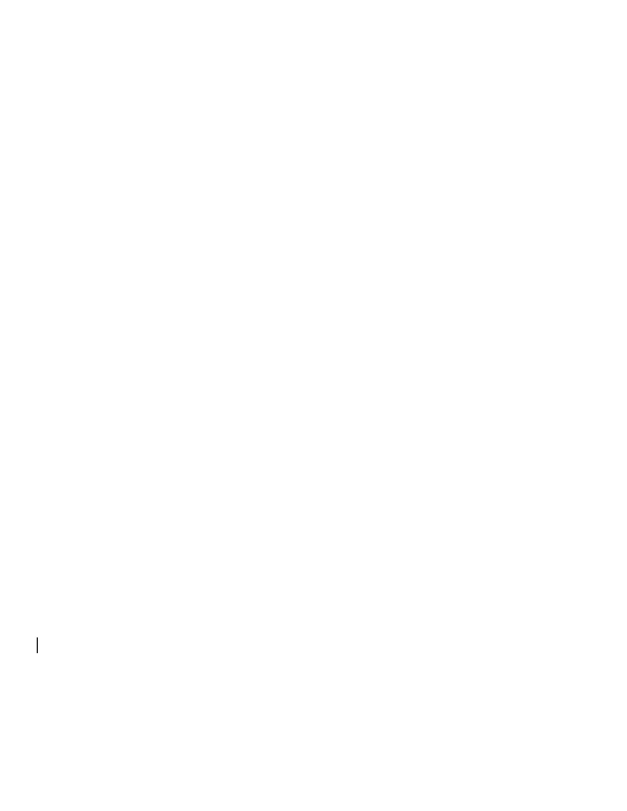$\begin{array}{c} \rule{0pt}{2ex} \rule{0pt}{2ex} \rule{0pt}{2ex} \rule{0pt}{2ex} \rule{0pt}{2ex} \rule{0pt}{2ex} \rule{0pt}{2ex} \rule{0pt}{2ex} \rule{0pt}{2ex} \rule{0pt}{2ex} \rule{0pt}{2ex} \rule{0pt}{2ex} \rule{0pt}{2ex} \rule{0pt}{2ex} \rule{0pt}{2ex} \rule{0pt}{2ex} \rule{0pt}{2ex} \rule{0pt}{2ex} \rule{0pt}{2ex} \rule{0pt}{2ex} \rule{0pt}{2ex} \rule{0pt}{2ex} \rule{0pt}{2ex} \rule{0pt}{$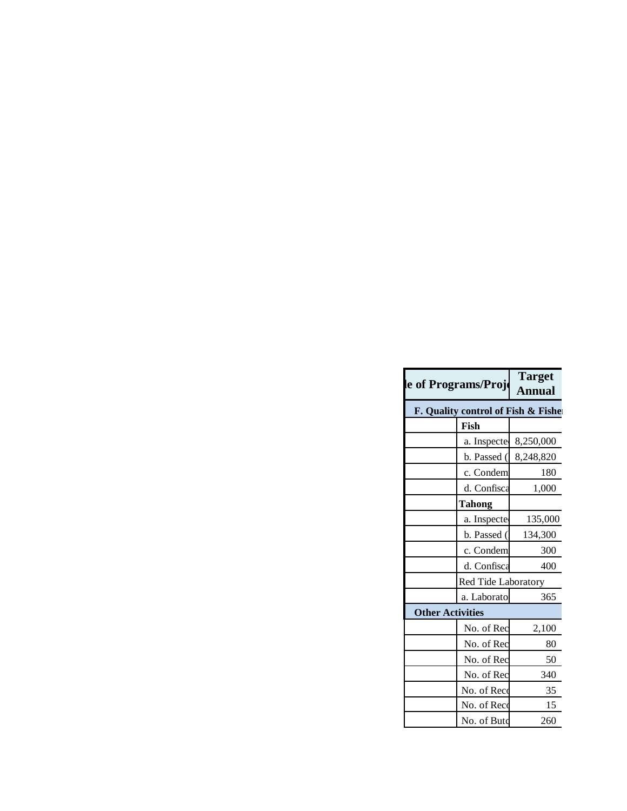|                         | le of Programs/Proje               | <b>Target</b><br><b>Annual</b> |
|-------------------------|------------------------------------|--------------------------------|
|                         | F. Quality control of Fish & Fishe |                                |
|                         | Fish                               |                                |
|                         | a. Inspecte                        | 8,250,000                      |
|                         | b. Passed (                        | 8,248,820                      |
|                         | c. Condem                          | 180                            |
|                         | d. Confisca                        | 1,000                          |
|                         | Tahong                             |                                |
|                         | a. Inspecte                        | 135,000                        |
|                         | b. Passed (                        | 134,300                        |
|                         | c. Condem                          | 300                            |
|                         | d. Confisca                        | 400                            |
|                         | Red Tide Laboratory                |                                |
|                         | a. Laborato                        | 365                            |
| <b>Other Activities</b> |                                    |                                |
|                         | No. of Rec                         | 2,100                          |
|                         | No. of Rec                         | 80                             |
|                         | No. of Rec                         | 50                             |
|                         | No. of Rec                         | 340                            |
|                         | No. of Reco                        | 35                             |
|                         | No. of Reco                        | 15                             |
|                         | No. of Butc                        | 260                            |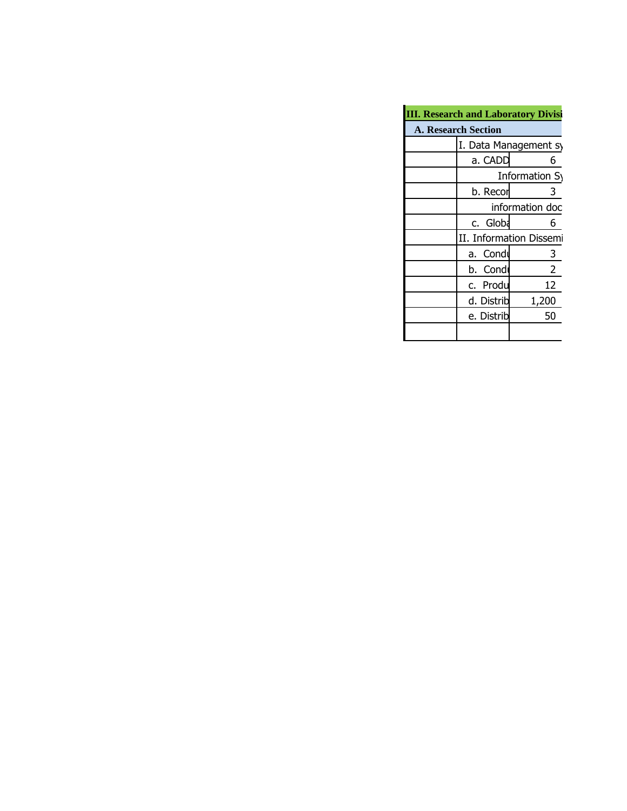| <b>III. Research and Laboratory Divisi</b> |                         |
|--------------------------------------------|-------------------------|
| <b>A. Research Section</b>                 |                         |
|                                            | I. Data Management sy   |
| a. CADD                                    | 6                       |
|                                            | Information Sy          |
| b. Recor                                   | 3.                      |
|                                            | information doc         |
| c. Globa                                   | 6                       |
|                                            | II. Information Dissemi |
| Condu<br>а.                                | 3                       |
| Condi<br>b.                                | $\overline{2}$          |
| c. Produ                                   | 12 <sup>2</sup>         |
| d. Distrib                                 | 1,200                   |
| e. Distrib                                 | 50                      |
|                                            |                         |
|                                            |                         |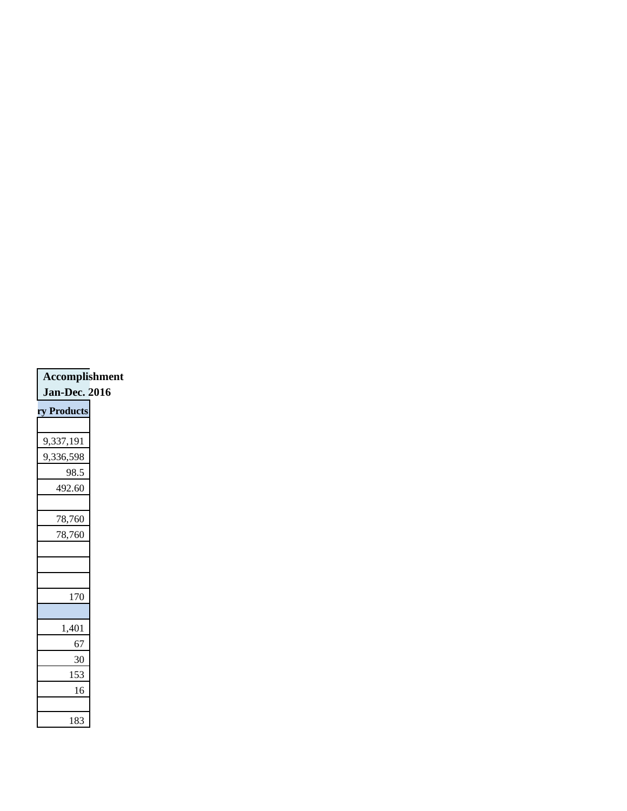| <b>Accomplishment</b> |  |
|-----------------------|--|
| <b>Jan-Dec. 2016</b>  |  |
| ry Products           |  |
|                       |  |
| 9,337,191             |  |
| 9,336,598             |  |
| 98.5                  |  |
| 492.60                |  |
|                       |  |
| 78,760                |  |
| 78,760                |  |
|                       |  |
|                       |  |
|                       |  |
| 170                   |  |
|                       |  |
| 1,401                 |  |
| 67                    |  |
| 30                    |  |
| 153                   |  |
| 16                    |  |
|                       |  |
| 183                   |  |
|                       |  |